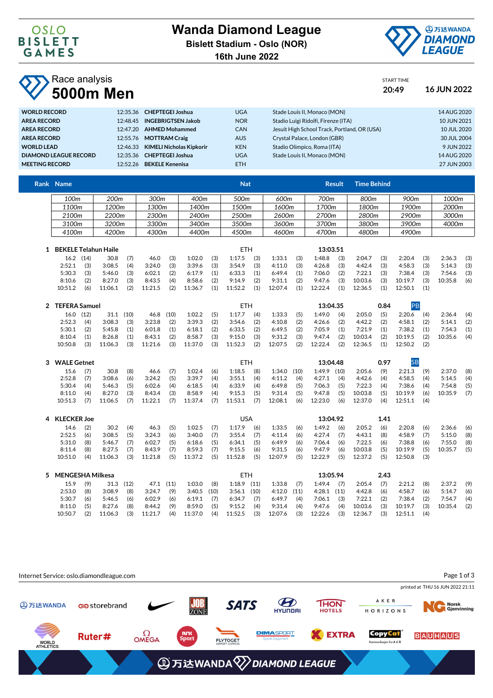

START TIME

## Race analysis **5000m Men 20:49 16 JUN 2022**

| <b>WORLD RECORD</b>          | 12:35.36 CHEPTEGEI Joshua         | <b>UGA</b> | Stade Louis II. Monaco (MON)                 | 14 AUG 2020 |
|------------------------------|-----------------------------------|------------|----------------------------------------------|-------------|
| <b>AREA RECORD</b>           | 12:48.45 INGEBRIGTSEN Jakob       | <b>NOR</b> | Stadio Luigi Ridolfi, Firenze (ITA)          | 10 JUN 2021 |
| <b>AREA RECORD</b>           | 12:47.20 AHMED Mohammed           | <b>CAN</b> | Jesuit High School Track, Portland, OR (USA) | 10 JUL 2020 |
| <b>AREA RECORD</b>           | 12:55.76 MOTTRAM Craig            | <b>AUS</b> | Crystal Palace, London (GBR)                 | 30 JUL 2004 |
| <b>WORLD LEAD</b>            | 12:46.33 KIMELI Nicholas Kipkorir | <b>KEN</b> | Stadio Olimpico, Roma (ITA)                  | 9 JUN 2022  |
| <b>DIAMOND LEAGUE RECORD</b> | 12:35.36 CHEPTEGEI Joshua         | <b>UGA</b> | Stade Louis II, Monaco (MON)                 | 14 AUG 2020 |
| <b>MEETING RECORD</b>        | 12:52.26 BEKELE Kenenisa          | ETH.       |                                              | 27 JUN 2003 |

| Rank Name |                  |       |       | <b>Nat</b> |       | <b>Result</b> | <b>Time Behind</b> |       |       |
|-----------|------------------|-------|-------|------------|-------|---------------|--------------------|-------|-------|
| 100m      | 200 <sub>m</sub> | 300m  | 400m  | 500m       | 600m  | 700m          | 800m               | 900m  | 1000m |
| 1100m     | 1200m            | 1300m | 1400m | 1500m      | 1600m | 1700m         | 1800m              | 1900m | 2000m |
| 2100m     | 2200m            | 2300m | 2400m | 2500m      | 2600m | 2700m         | 2800m              | 2900m | 3000m |
| 3100m     | 3200m            | 3300m | 3400m | 3500m      | 3600m | 3700m         | 3800m              | 3900m | 4000m |
| 4100m     | 4200m            | 4300m | 4400m | 4500m      | 4600m | 4700m         | 4800m              | 4900m |       |
|           |                  |       |       |            |       |               |                    |       |       |

| 16.2    |     | 30.8    |                             | 46.0    | (3) | 1:02.0  | (3) | 1:17.5  | (3) | 1:33.1  | (3) | 1:48.8  | (3) | 2:04.7   | (3) | 2:20.4  | (3) | 2:36.3  | (3) |
|---------|-----|---------|-----------------------------|---------|-----|---------|-----|---------|-----|---------|-----|---------|-----|----------|-----|---------|-----|---------|-----|
| 2:52.1  |     | 3:08.5  | (4)                         | 3:24.0  | (3) | 3:39.6  | (3) | 3:54.9  | (3) | 4:11.0  | (3) | 4:26.8  | (3) | 4:42.4   | (3) | 4:58.3  | (3) | 5:14.3  | (3) |
| 5:30.3  |     | 5:46.0  | (3)                         | 6:02.1  | (2) | 6:17.9  | (1) | 6:33.3  | (1) | 6:49.4  | (1) | 7:06.0  | (2) | 7:22.1   | (3) | 7:38.4  | (3) | 7:54.6  | (3) |
| 8:10.6  |     | 8:27.0  | (3)                         | 8:43.5  | (4) | 8:58.6  | (2) | 9:14.9  | (2) | 9:31.1  | (2) | 9:47.6  | (3) | 10:03.6  | (3) | 10:19.7 | (3) | 10:35.8 | (6) |
| 10:51.2 | (6) | 11:06.1 | (2)                         | 11:21.5 | (2) | 11:36.7 | (1) | 11:52.2 | (1) | 12:07.4 | (1) | 12:22.4 | (1) | 12:36.5  | (1) | 12:50.1 |     |         |     |
|         |     | (14)    | <b>BEKELE Telahun Haile</b> |         |     |         |     |         |     | ETH     |     |         |     | 13:03.51 |     |         |     |         |     |

| <b>TEFERA Samuel</b> |     |         |      |         |      |         |     | ETH     |     |         |     | 13:04.35 |     |         | 0.84 |         |     |         |     |
|----------------------|-----|---------|------|---------|------|---------|-----|---------|-----|---------|-----|----------|-----|---------|------|---------|-----|---------|-----|
| 16.0 (12)            |     | 31.1    | (10) | 46.8    | (10) | 1:02.2  | (5) | 1:17.7  | (4) | 1:33.3  | (5) | 1:49.0   | (4) | 2:05.0  | (5)  | 2:20.6  | (4) | 2:36.4  | (4) |
| 2:52.3               | (4) | 3:08.3  | (3)  | 3:23.8  | (2)  | 3:39.3  | (2) | 3:54.6  | (2) | 4:10.8  | (2) | 4:26.6   | (2) | 4:42.2  | (2)  | 4:58.1  | (2) | 5:14.1  | (2) |
| 5:30.1               |     | 5:45.8  | (1)  | 6:01.8  | (1)  | 6:18.1  | (2) | 6:33.5  | (2) | 6:49.5  | (2) | 7:05.9   | (1) | 7:21.9  | (1)  | 7:38.2  | (1) | 7:54.3  | (1) |
| 8:10.4               |     | 8:26.8  | (1)  | 8:43.1  | (2)  | 8:58.7  | (3) | 9:15.0  | (3) | 9:31.2  | (3) | 9:47.4   | (2) | 10:03.4 | (2)  | 10:19.5 | (2) | 10:35.6 | (4) |
| 10:50.8              |     | 11:06.3 | (3)  | 11:21.6 | (3)  | 11:37.0 | (3) | 11:52.3 | (2) | 12:07.5 | (2) | 12:22.4  | (2) | 12:36.5 | (1)  | 12:50.2 | (2) |         |     |

| <b>WALE Getnet</b> |     |         |     |         |     |         |     | ETH     |     |               |     | 13:04.48      |     |         | 0.97 |         |     |         |     |
|--------------------|-----|---------|-----|---------|-----|---------|-----|---------|-----|---------------|-----|---------------|-----|---------|------|---------|-----|---------|-----|
| 15.6               | (7) | 30.8    | (8) | 46.6    | (7) | 1:02.4  | (6) | 1:18.5  | (8) | $1:34.0$ (10) |     | $1:49.9$ (10) |     | 2:05.6  | (9)  | 2:21.3  | (9) | 2:37.0  | (8) |
| 2:52.8             | (7) | 3:08.6  | (6) | 3:24.2  | (5) | 3:39.7  | (4) | 3:55.1  | (4) | 4:11.2        | (4) | 4:27.1        | (4) | 4:42.6  | (4)  | 4:58.5  | (4) | 5:14.5  | (4) |
| 5:30.4             | (4) | 5:46.3  | (5) | 6:02.6  | (4) | 6:18.5  | (4) | 6:33.9  | (4) | 6:49.8        | (5) | 7:06.3        | (5) | 7:22.3  | (4)  | 7:38.6  | (4) | 7:54.8  | (5) |
| 8:11.0             | (4) | 8:27.0  | (3) | 8:43.4  | (3) | 8:58.9  | (4) | 9:15.3  | (5) | 9:31.4        | (5) | 9:47.8        | (5) | 10:03.8 | (5)  | 10:19.9 | (6) | 10:35.9 | (7) |
| 10:51.3            | (7) | 11:06.5 | (7) | 11:22.1 | (7) | 11:37.4 | (7) | 11:53.1 | (7) | 12:08.1       | (6) | 12:23.0       | (6) | 12:37.0 | (4)  | 12:51.1 | (4) |         |     |

| <b>KLECKER Joe</b> |     |         |     |         |     |         |     | USA     |     |         |     | 13:04.92 |     |         | 1.41 |         |     |         |     |
|--------------------|-----|---------|-----|---------|-----|---------|-----|---------|-----|---------|-----|----------|-----|---------|------|---------|-----|---------|-----|
| 14.6               |     | 30.2    | (4) | 46.3    | (5) | 1:02.5  | (7) | 1:17.9  | (6) | 1:33.5  | (6) | 1:49.2   | (6) | 2:05.2  | (6)  | 2:20.8  | (6) | 2:36.6  | (6) |
| 2:52.5             | (6) | 3:08.5  | (5) | 3:24.3  | (6) | 3:40.0  | (7) | 3:55.4  | (7) | 4:11.4  | (6) | 4:27.4   | (7) | 4:43.1  | (8)  | 4:58.9  | (7) | 5:15.0  | (8) |
| 5:31.0             | (8) | 5:46.7  | (7) | 6:02.7  | (5) | 6:18.6  | (5) | 6:34.1  | (5) | 6:49.9  | (6) | 7:06.4   | (6) | 7:22.5  | (6)  | 7:38.8  | (6) | 7:55.0  | (8) |
| 8:11.4             | (8) | 8:27.5  | (7) | 8:43.9  | (7) | 8:59.3  | (7) | 9:15.5  | (6) | 9:31.5  | (6) | 9:47.9   | (6) | 10:03.8 | (5)  | 10:19.9 | (5) | 10:35.7 | (5) |
| 10:51.0            | (4) | 11:06.3 | (3) | 11:21.8 | (5) | 11:37.2 | (5) | 11:52.8 | (5) | 12:07.9 | (5) | 12:22.9  | (5) | 12:37.2 | (5)  | 12:50.8 | (3) |         |     |

| <b>MENGESHA Milkesa</b> |     |         |      |        |      |         |      | ETH     |      |         |      | 13:05.94 |      |         | 2.43 |         |     |         |     |
|-------------------------|-----|---------|------|--------|------|---------|------|---------|------|---------|------|----------|------|---------|------|---------|-----|---------|-----|
| 15.9                    | (9) | 31.3    | (12) | 47.1   | (11) | 1:03.0  | (8)  | 1:18.9  | (11) | 1:33.8  | (7)  | 1:49.4   | (7)  | 2:05.4  | (7)  | 2:21.2  | (8) | 2:37.2  | (9) |
| 2:53.0                  | (8) | 3:08.9  | (8)  | 3:24.7 | (9)  | 3:40.5  | (10) | 3:56.1  | (10) | 4:12.0  | (11) | 4:28.1   | (11) | 4:42.8  | (6)  | 4:58.7  | (6) | 5:14.7  | (6) |
| 5:30.7                  | (6) | 5:46.5  | (6)  | 6:02.9 | (6)  | 6:19.1  | (7)  | 6:34.7  | (7)  | 6:49.7  | (4)  | 7:06.1   | (3)  | 7:22.1  | (2)  | 7:38.4  | (2) | 7:54.7  | (4) |
| 8:11.0                  |     | 8:27.6  | (8)  | 8:44.2 | (9)  | 8:59.0  | (5)  | 9:15.2  | (4)  | 9:31.4  | (4)  | 9:47.6   | (4)  | 10:03.6 | (3)  | 10:19.7 | (3) | 10:35.4 | (2) |
| 10:50.7                 |     | 11:06.3 | (3)  | 1:21.7 | (4)  | 11:37.0 | (4)  | 11:52.5 | (3)  | 12:07.6 | (3)  | 12:22.6  | (3)  | 12:36.7 | (3)  | 12:51.1 | (4) |         |     |

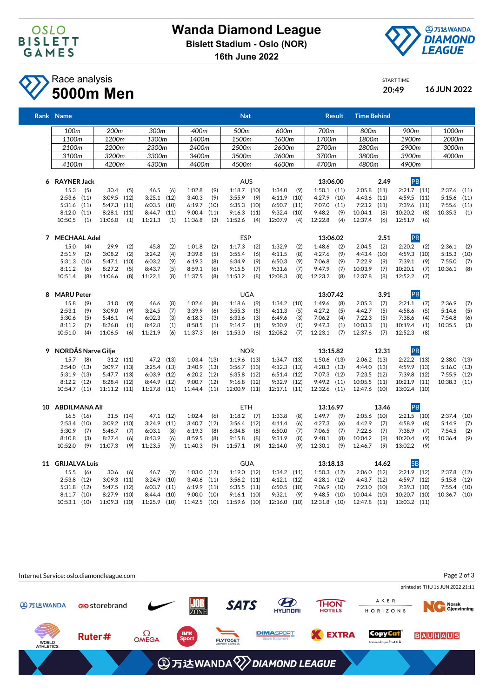



## Race analysis **5000m Men 20:49 16 JUN 2022**

|   | Rank Name                 |      |                 |           |              |           |                 |      | <b>Nat</b>      |      |                  |      |                 | <b>Result</b> | <b>Time Behind</b> |       |                 |      |               |      |
|---|---------------------------|------|-----------------|-----------|--------------|-----------|-----------------|------|-----------------|------|------------------|------|-----------------|---------------|--------------------|-------|-----------------|------|---------------|------|
|   | 100m                      |      | 200m            |           | 300m         |           | 400m            |      | 500m            |      | 600m             |      | 700m            |               | 800m               |       | 900m            |      | 1000m         |      |
|   | 1100m                     |      | 1200m           |           | 1300m        |           | 1400m           |      | 1500m           |      | 1600m            |      | 1700m           |               | 1800m              |       | 1900m           |      | 2000m         |      |
|   | 2100m                     |      | 2200m           |           | 2300m        |           | 2400m           |      | 2500m           |      | 2600m            |      | 2700m           |               | 2800m              |       | 2900m           |      | 3000m         |      |
|   | 3100m                     |      | 3200m           |           | 3300m        |           | 3400m           |      | 3500m           |      | 3600m            |      | 3700m           |               | 3800m              |       | 3900m           |      | 4000m         |      |
|   | 4100m                     |      | 4200m           |           | 4300m        |           | 4400m           |      | 4500m           |      | 4600m            |      | 4700m           |               | 4800m              |       | 4900m           |      |               |      |
| 6 | <b>RAYNER Jack</b>        |      |                 |           |              |           |                 |      | <b>AUS</b>      |      |                  |      | 13:06.00        |               |                    | 2.49  | PB              |      |               |      |
|   | 15.3                      | (5)  | 30.4            | (5)       | 46.5         | (6)       | 1:02.8          | (9)  | $1:18.7$ (10)   |      | 1:34.0           | (9)  | $1:50.1$ $(11)$ |               | 2:05.8             | (11)  | $2:21.7$ (11)   |      | $2:37.6$ (11) |      |
|   | $2:53.6$ (11)             |      | 3:09.5          | (12)      | 3:25.1       | (12)      | 3:40.3          | (9)  | 3:55.9          | (9)  | 4:11.9           | (10) | 4:27.9          | (10)          | 4:43.6             | (11)  | $4:59.5$ $(11)$ |      | 5:15.6        | (11) |
|   | $5:31.6$ $(11)$           |      | 5:47.3          | (11)      | 6:03.5       | (10)      | 6:19.7          | (10) | 6:35.3          | (10) | 6:50.7           | (11) | 7:07.0          | (11)          | 7:23.2             | (11)  | 7:39.6          | (11) | $7:55.6$ (11) |      |
|   | $8:12.0$ $(11)$           |      | 8:28.1          | (11)      | 8:44.7       | (11)      | 9:00.4          | (11) | 9:16.3          | (11) | 9:32.4           | (10) | 9:48.2          | (9)           | 10:04.1            | (8)   | 10:20.2         | (8)  | 10:35.3       | (1)  |
|   | 10:50.5                   | (1)  | 11:06.0         | (1)       | 11:21.3      | (1)       | 11:36.8         | (2)  | 11:52.6         | (4)  | 12:07.9          | (4)  | 12:22.8         | (4)           | 12:37.4            | (6)   | 12:51.9         | (6)  |               |      |
|   | 7 MECHAAL Adel            |      |                 |           |              |           |                 |      | ESP             |      |                  |      | 13:06.02        |               |                    | 2.51  | PB              |      |               |      |
|   | 15.0                      | (4)  | 29.9            | (2)       | 45.8         | (2)       | 1:01.8          | (2)  | 1:17.3          | (2)  | 1:32.9           | (2)  | 1:48.6          | (2)           | 2:04.5             | (2)   | 2:20.2          | (2)  | 2:36.1        | (2)  |
|   | 2:51.9                    | (2)  | 3:08.2          | (2)       | 3:24.2       | (4)       | 3:39.8          | (5)  | 3:55.4          | (6)  | 4:11.5           | (8)  | 4:27.6          | (9)           | 4:43.4             | (10)  | $4:59.3$ (10)   |      | 5:15.3        | (10) |
|   | $5:31.3$ (10)             |      | 5:47.1          | (10)      | 6:03.2       | (9)       | 6:19.3          | (8)  | 6:34.9          | (9)  | 6:50.3           | (9)  | 7:06.8          | (9)           | 7:22.9             | (9)   | 7:39.1          | (9)  | 7:55.0        | (7)  |
|   | 8:11.2                    | (6)  | 8:27.2          | (5)       | 8:43.7       | (5)       | 8:59.1          | (6)  | 9:15.5          | (7)  | 9:31.6           | (7)  | 9:47.9          | (7)           | 10:03.9            | (7)   | 10:20.1         | (7)  | 10:36.1       | (8)  |
|   | 10:51.4                   | (8)  | 11:06.6         | (8)       | 11:22.1      | (8)       | 11:37.5         | (8)  | 11:53.2         | (8)  | 12:08.3          | (8)  | 12:23.2         | (8)           | 12:37.8            | (8)   | 12:52.2         | (7)  |               |      |
| 8 | <b>MARU Peter</b>         |      |                 |           |              |           |                 |      | <b>UGA</b>      |      |                  |      | 13:07.42        |               |                    | 3.91  | PB              |      |               |      |
|   | 15.8                      | (9)  | 31.0            | (9)       | 46.6         | (8)       | 1:02.6          | (8)  | 1:18.6          | (9)  | $1:34.2$ (10)    |      | 1:49.6          | (8)           | 2:05.3             | (7)   | 2:21.1          | (7)  | 2:36.9        | (7)  |
|   | 2:53.1                    | (9)  | 3:09.0          | (9)       | 3:24.5       | (7)       | 3:39.9          | (6)  | 3:55.3          | (5)  | 4:11.3           | (5)  | 4:27.2          | (5)           | 4:42.7             | (5)   | 4:58.6          | (5)  | 5:14.6        | (5)  |
|   | 5:30.6                    | (5)  | 5:46.1          | (4)       | 6:02.3       | (3)       | 6:18.3          | (3)  | 6:33.6          | (3)  | 6:49.6           | (3)  | 7:06.2          | (4)           | 7:22.3             | (5)   | 7:38.6          | (4)  | 7:54.8        | (6)  |
|   | 8:11.2                    | (7)  | 8:26.8          | (1)       | 8:42.8       | (1)       | 8:58.5          | (1)  | 9:14.7          | (1)  | 9:30.9           | (1)  | 9:47.3          | (1)           | 10:03.3            | (1)   | 10:19.4         | (1)  | 10:35.5       | (3)  |
|   | 10:51.0                   | (4)  | 11:06.5         | (6)       | 11:21.9      | (6)       | 11:37.3         | (6)  | 11:53.0         | (6)  | 12:08.2          | (7)  | 12:23.1         | (7)           | 12:37.6            | (7)   | 12:52.3         | (8)  |               |      |
| 9 | <b>NORDÅS Narve Gilje</b> |      |                 |           |              |           |                 |      | <b>NOR</b>      |      |                  |      | 13:15.82        |               |                    | 12.31 | PB              |      |               |      |
|   | 15.7                      | (8)  |                 | 31.2 (11) |              | 47.2 (13) | $1:03.4$ (13)   |      | $1:19.6$ (13)   |      | $1:34.7$ $(13)$  |      | $1:50.6$ (13)   |               | $2:06.2$ (13)      |       | $2:22.2$ (13)   |      | $2:38.0$ (13) |      |
|   | $2:54.0$ (13)             |      | $3:09.7$ $(13)$ |           | 3:25.4       | (13)      | $3:40.9$ (13)   |      | $3:56.7$ $(13)$ |      | $4:12.3$ $(13)$  |      | 4:28.3          | (13)          | 4:44.0             | (13)  | 4:59.9 (13)     |      | $5:16.0$ (13) |      |
|   | $5:31.9$ (13)             |      | 5:47.7          | (13)      | 6:03.9       | (12)      | 6:20.2          | (12) | 6:35.8          | (12) | $6:51.4$ (12)    |      | $7:07.3$ (12)   |               | 7:23.5             | (12)  | $7:39.8$ (12)   |      | $7:55.9$ (12) |      |
|   | $8:12.2$ (12)             |      | 8:28.4          | (12)      | 8:44.9       | (12)      | 9:00.7          | (12) | 9:16.8          | (12) | 9:32.9           | (12) | $9:49.2$ (11)   |               | 10:05.5            | (11)  | 10:21.9 (11)    |      | 10:38.3 (11)  |      |
|   | 10:54.7 (11)              |      | 11:11.2 (11)    |           | 11:27.8 (11) |           | 11:44.4 (11)    |      | 12:00.9 (11)    |      | $12:17.1$ $(11)$ |      | 12:32.6 (11)    |               | 12:47.6 (10)       |       | 13:02.4 (10)    |      |               |      |
|   | 10 ABDILMANA Ali          |      |                 |           |              |           |                 |      | <b>ETH</b>      |      |                  |      | 13:16.97        |               |                    | 13.46 | PB              |      |               |      |
|   | $16.5$ $(16)$             |      |                 | 31.5 (14) |              | 47.1 (12) | 1:02.4          | (6)  | 1:18.2          | (7)  | 1:33.8           | (8)  | 1:49.7          | (9)           | $2:05.6$ (10)      |       | $2:21.5$ (10)   |      | $2:37.4$ (10) |      |
|   | $2:53.4$ (10)             |      | 3:09.2          | (10)      | 3:24.9       | (11)      | 3:40.7          | (12) | $3:56.4$ (12)   |      | 4:11.4           | (6)  | 4:27.3          | (6)           | 4:42.9             | (7)   | 4:58.9          | (8)  | 5:14.9        | (7)  |
|   | 5:30.9                    | (7)  | 5:46.7          | (7)       | 6:03.1       | (8)       | 6:19.3          | (8)  | 6:34.8          | (8)  | 6:50.0           | (7)  | 7:06.5          | (7)           | 7:22.6             | (7)   | 7:38.9          | (7)  | 7:54.5        | (2)  |
|   | 8:10.8                    | (3)  | 8:27.4          | (6)       | 8:43.9       | (6)       | 8:59.5          | (8)  | 9:15.8          | (8)  | 9:31.9           | (8)  | 9:48.1          | (8)           | 10:04.2            | (9)   | 10:20.4         | (9)  | 10:36.4       | (9)  |
|   | 10:52.0                   | (9)  | 11:07.3         | (9)       | 11:23.5      | (9)       | 11:40.3         | (9)  | 11:57.1         | (9)  | 12:14.0          | (9)  | 12:30.1         | (9)           | 12:46.7            | (9)   | 13:02.2         | (9)  |               |      |
|   | 11 GRIJALVA Luis          |      |                 |           |              |           |                 |      | <b>GUA</b>      |      |                  |      | 13:18.13        |               |                    | 14.62 | <b>SB</b>       |      |               |      |
|   | 15.5                      | (6)  | 30.6            | (6)       | 46.7         | (9)       | $1:03.0$ $(12)$ |      | 1:19.0          | (12) | $1:34.2$ $(11)$  |      | $1:50.3$ (12)   |               | $2:06.0$ (12)      |       | $2:21.9$ (12)   |      | 2:37.8        | (12) |
|   | 2:53.8                    | (12) | 3:09.3          | (11)      | 3:24.9       | (10)      | 3:40.6          | (11) | 3:56.2          | (11) | $4:12.1$ $(12)$  |      | $4:28.1$ (12)   |               | 4:43.7             | (12)  | $4:59.7$ (12)   |      | 5:15.8        | (12) |
|   | $5:31.8$ (12)             |      | 5:47.5          | (12)      | 6:03.7       | (11)      | 6:19.9          | (11) | 6:35.5          | (11) | 6:50.5           | (10) | 7:06.9          | (10)          | 7:23.0             | (10)  | $7:39.3$ (10)   |      | 7:55.4        | (10) |
|   | $8:11.7$ (10)             |      | 8:27.9          | (10)      | 8:44.4       | (10)      | 9:00.0          | (10) | $9:16.1$ (10)   |      | 9:32.1           | (9)  | $9:48.5$ (10)   |               | 10:04.4 (10)       |       | 10:20.7 (10)    |      | 10:36.7 (10)  |      |
|   | 10:53.1 (10)              |      | 11:09.3         | (10)      | 11:25.9      | (10)      | 11:42.5         | (10) | 11:59.6 (10)    |      | $12:16.0$ (10)   |      | 12:31.8 (10)    |               | 12:47.8 (11)       |       | 13:03.2 (11)    |      |               |      |



START TIME